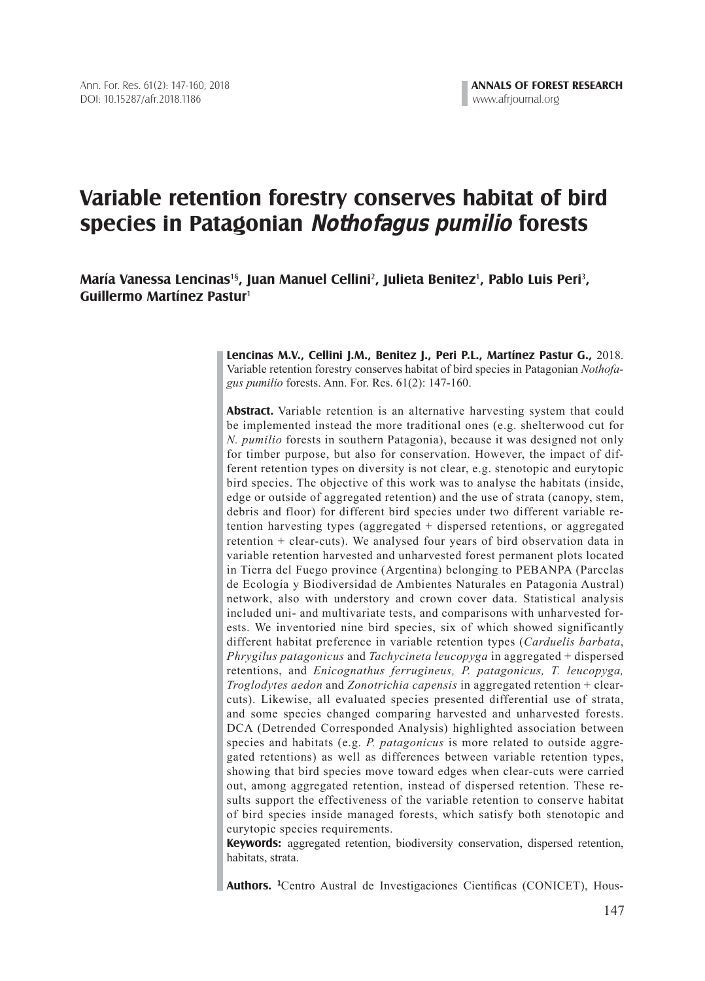# **Variable retention forestry conserves habitat of bird species in Patagonian Nothofagus pumilio forests**

**María Vanessa Lencinas**1§**, Juan Manuel Cellini**<sup>2</sup> **, Julieta Benitez**<sup>1</sup> **, Pablo Luis Peri**<sup>3</sup> **, Guillermo Martínez Pastur**<sup>1</sup>

> **Lencinas M.V., Cellini J.M., Benitez J., Peri P.L., Martínez Pastur G.,** 2018. Variable retention forestry conserves habitat of bird species in Patagonian *Nothofagus pumilio* forests. Ann. For. Res. 61(2): 147-160.

> **Abstract.** Variable retention is an alternative harvesting system that could be implemented instead the more traditional ones (e.g. shelterwood cut for *N. pumilio* forests in southern Patagonia), because it was designed not only for timber purpose, but also for conservation. However, the impact of different retention types on diversity is not clear, e.g. stenotopic and eurytopic bird species. The objective of this work was to analyse the habitats (inside, edge or outside of aggregated retention) and the use of strata (canopy, stem, debris and floor) for different bird species under two different variable retention harvesting types (aggregated + dispersed retentions, or aggregated retention + clear-cuts). We analysed four years of bird observation data in variable retention harvested and unharvested forest permanent plots located in Tierra del Fuego province (Argentina) belonging to PEBANPA (Parcelas de Ecología y Biodiversidad de Ambientes Naturales en Patagonia Austral) network, also with understory and crown cover data. Statistical analysis included uni- and multivariate tests, and comparisons with unharvested forests. We inventoried nine bird species, six of which showed significantly different habitat preference in variable retention types (*Carduelis barbata*, *Phrygilus patagonicus* and *Tachycineta leucopyga* in aggregated + dispersed retentions, and *Enicognathus ferrugineus, P. patagonicus, T. leucopyga, Troglodytes aedon* and *Zonotrichia capensis* in aggregated retention + clearcuts). Likewise, all evaluated species presented differential use of strata, and some species changed comparing harvested and unharvested forests. DCA (Detrended Corresponded Analysis) highlighted association between species and habitats (e.g. *P. patagonicus* is more related to outside aggregated retentions) as well as differences between variable retention types, showing that bird species move toward edges when clear-cuts were carried out, among aggregated retention, instead of dispersed retention. These results support the effectiveness of the variable retention to conserve habitat of bird species inside managed forests, which satisfy both stenotopic and eurytopic species requirements.

> **Keywords:** aggregated retention, biodiversity conservation, dispersed retention, habitats, strata.

> **Authors. <sup>1</sup>** Centro Austral de Investigaciones Científicas (CONICET), Hous-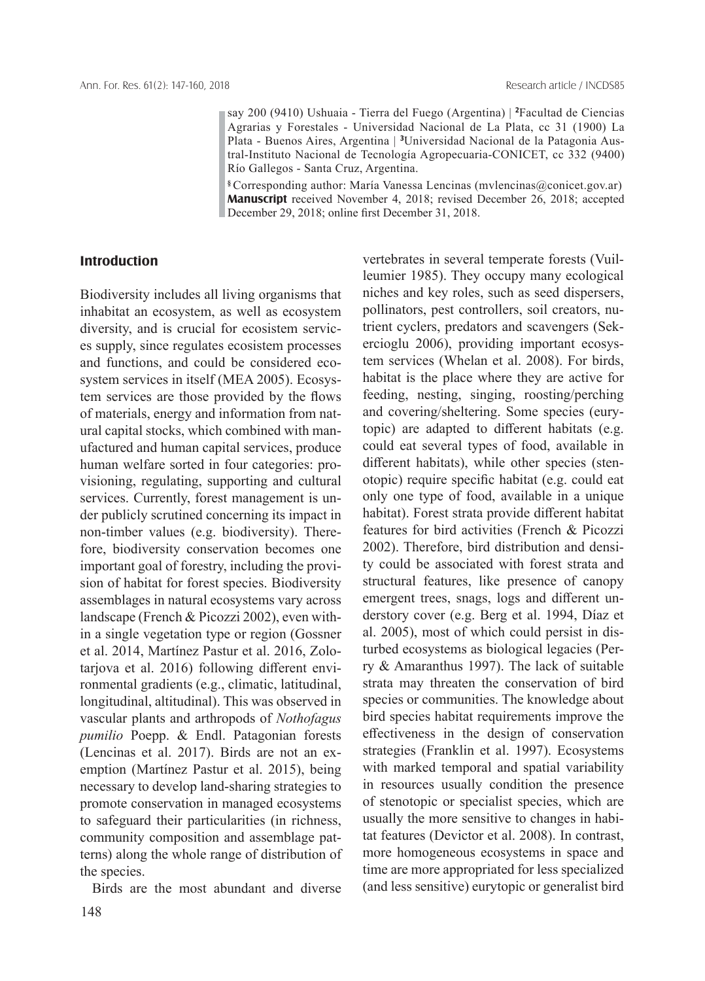say 200 (9410) Ushuaia - Tierra del Fuego (Argentina) | **<sup>2</sup>** Facultad de Ciencias Agrarias y Forestales - Universidad Nacional de La Plata, cc 31 (1900) La Plata - Buenos Aires, Argentina | **<sup>3</sup>** Universidad Nacional de la Patagonia Austral-Instituto Nacional de Tecnología Agropecuaria-CONICET, cc 332 (9400) Río Gallegos - Santa Cruz, Argentina.

**§** Corresponding author: María Vanessa Lencinas (mvlencinas@conicet.gov.ar) **Manuscript** received November 4, 2018; revised December 26, 2018; accepted December 29, 2018; online first December 31, 2018.

## **Introduction**

Biodiversity includes all living organisms that inhabitat an ecosystem, as well as ecosystem diversity, and is crucial for ecosistem services supply, since regulates ecosistem processes and functions, and could be considered ecosystem services in itself (MEA 2005). Ecosystem services are those provided by the flows of materials, energy and information from natural capital stocks, which combined with manufactured and human capital services, produce human welfare sorted in four categories: provisioning, regulating, supporting and cultural services. Currently, forest management is under publicly scrutined concerning its impact in non-timber values (e.g. biodiversity). Therefore, biodiversity conservation becomes one important goal of forestry, including the provision of habitat for forest species. Biodiversity assemblages in natural ecosystems vary across landscape (French & Picozzi 2002), even within a single vegetation type or region (Gossner et al. 2014, Martínez Pastur et al. 2016, Zolotarjova et al. 2016) following different environmental gradients (e.g., climatic, latitudinal, longitudinal, altitudinal). This was observed in vascular plants and arthropods of *Nothofagus pumilio* Poepp. & Endl. Patagonian forests (Lencinas et al. 2017). Birds are not an exemption (Martínez Pastur et al. 2015), being necessary to develop land-sharing strategies to promote conservation in managed ecosystems to safeguard their particularities (in richness, community composition and assemblage patterns) along the whole range of distribution of the species.

Birds are the most abundant and diverse

vertebrates in several temperate forests (Vuilleumier 1985). They occupy many ecological niches and key roles, such as seed dispersers, pollinators, pest controllers, soil creators, nutrient cyclers, predators and scavengers (Sekercioglu 2006), providing important ecosystem services (Whelan et al. 2008). For birds, habitat is the place where they are active for feeding, nesting, singing, roosting/perching and covering/sheltering. Some species (eurytopic) are adapted to different habitats (e.g. could eat several types of food, available in different habitats), while other species (stenotopic) require specific habitat (e.g. could eat only one type of food, available in a unique habitat). Forest strata provide different habitat features for bird activities (French & Picozzi 2002). Therefore, bird distribution and density could be associated with forest strata and structural features, like presence of canopy emergent trees, snags, logs and different understory cover (e.g. Berg et al. 1994, Díaz et al. 2005), most of which could persist in disturbed ecosystems as biological legacies (Perry & Amaranthus 1997). The lack of suitable strata may threaten the conservation of bird species or communities. The knowledge about bird species habitat requirements improve the effectiveness in the design of conservation strategies (Franklin et al. 1997). Ecosystems with marked temporal and spatial variability in resources usually condition the presence of stenotopic or specialist species, which are usually the more sensitive to changes in habitat features (Devictor et al. 2008). In contrast, more homogeneous ecosystems in space and time are more appropriated for less specialized (and less sensitive) eurytopic or generalist bird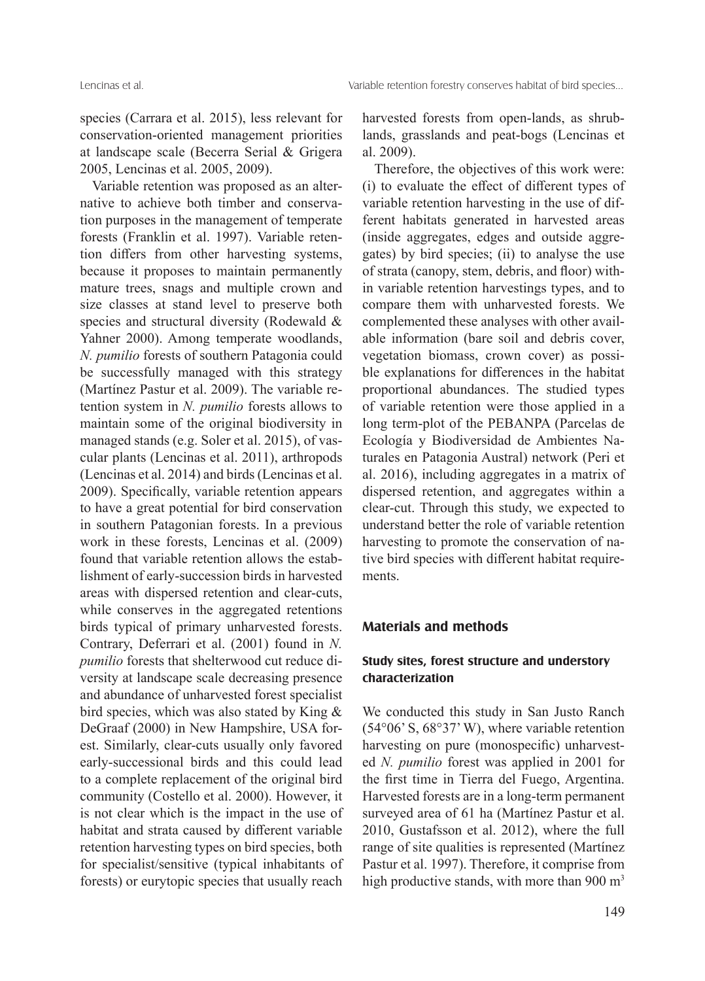species (Carrara et al. 2015), less relevant for conservation-oriented management priorities at landscape scale (Becerra Serial & Grigera 2005, Lencinas et al. 2005, 2009).

Variable retention was proposed as an alternative to achieve both timber and conservation purposes in the management of temperate forests (Franklin et al. 1997). Variable retention differs from other harvesting systems, because it proposes to maintain permanently mature trees, snags and multiple crown and size classes at stand level to preserve both species and structural diversity (Rodewald & Yahner 2000). Among temperate woodlands, *N. pumilio* forests of southern Patagonia could be successfully managed with this strategy (Martínez Pastur et al. 2009). The variable retention system in *N. pumilio* forests allows to maintain some of the original biodiversity in managed stands (e.g. Soler et al. 2015), of vascular plants (Lencinas et al. 2011), arthropods (Lencinas et al. 2014) and birds (Lencinas et al. 2009). Specifically, variable retention appears to have a great potential for bird conservation in southern Patagonian forests. In a previous work in these forests, Lencinas et al. (2009) found that variable retention allows the establishment of early-succession birds in harvested areas with dispersed retention and clear-cuts, while conserves in the aggregated retentions birds typical of primary unharvested forests. Contrary, Deferrari et al. (2001) found in *N. pumilio* forests that shelterwood cut reduce diversity at landscape scale decreasing presence and abundance of unharvested forest specialist bird species, which was also stated by King & DeGraaf (2000) in New Hampshire, USA forest. Similarly, clear-cuts usually only favored early-successional birds and this could lead to a complete replacement of the original bird community (Costello et al. 2000). However, it is not clear which is the impact in the use of habitat and strata caused by different variable retention harvesting types on bird species, both for specialist/sensitive (typical inhabitants of forests) or eurytopic species that usually reach

harvested forests from open-lands, as shrublands, grasslands and peat-bogs (Lencinas et al. 2009).

Therefore, the objectives of this work were: (i) to evaluate the effect of different types of variable retention harvesting in the use of different habitats generated in harvested areas (inside aggregates, edges and outside aggregates) by bird species; (ii) to analyse the use of strata (canopy, stem, debris, and floor) within variable retention harvestings types, and to compare them with unharvested forests. We complemented these analyses with other available information (bare soil and debris cover, vegetation biomass, crown cover) as possible explanations for differences in the habitat proportional abundances. The studied types of variable retention were those applied in a long term-plot of the PEBANPA (Parcelas de Ecología y Biodiversidad de Ambientes Naturales en Patagonia Austral) network (Peri et al. 2016), including aggregates in a matrix of dispersed retention, and aggregates within a clear-cut. Through this study, we expected to understand better the role of variable retention harvesting to promote the conservation of native bird species with different habitat requirements.

## **Materials and methods**

# **Study sites, forest structure and understory characterization**

We conducted this study in San Justo Ranch (54°06' S, 68°37' W), where variable retention harvesting on pure (monospecific) unharvested *N. pumilio* forest was applied in 2001 for the first time in Tierra del Fuego, Argentina. Harvested forests are in a long-term permanent surveyed area of 61 ha (Martínez Pastur et al. 2010, Gustafsson et al. 2012), where the full range of site qualities is represented (Martínez Pastur et al. 1997). Therefore, it comprise from high productive stands, with more than 900 m<sup>3</sup>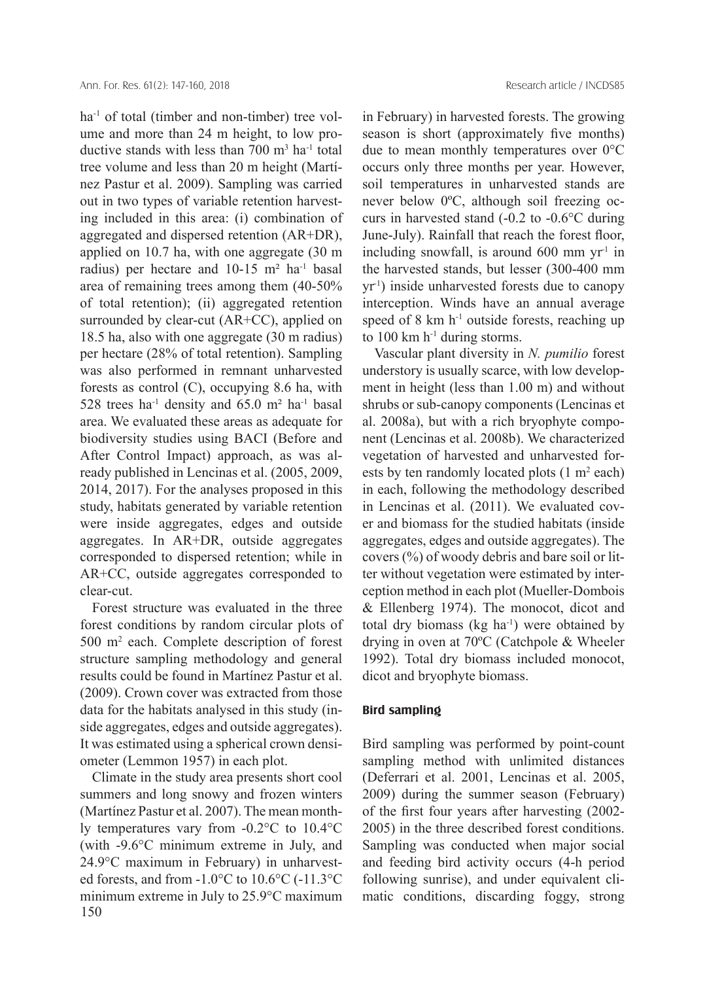ha<sup>-1</sup> of total (timber and non-timber) tree volume and more than 24 m height, to low productive stands with less than  $700 \text{ m}^3$  ha<sup>-1</sup> total tree volume and less than 20 m height (Martínez Pastur et al. 2009). Sampling was carried out in two types of variable retention harvesting included in this area: (i) combination of aggregated and dispersed retention (AR+DR), applied on 10.7 ha, with one aggregate (30 m radius) per hectare and  $10-15$  m<sup>2</sup> ha<sup>-1</sup> basal area of remaining trees among them (40-50% of total retention); (ii) aggregated retention surrounded by clear-cut (AR+CC), applied on 18.5 ha, also with one aggregate (30 m radius) per hectare (28% of total retention). Sampling was also performed in remnant unharvested forests as control (C), occupying 8.6 ha, with 528 trees ha<sup>-1</sup> density and 65.0 m<sup>2</sup> ha<sup>-1</sup> basal area. We evaluated these areas as adequate for biodiversity studies using BACI (Before and After Control Impact) approach, as was already published in Lencinas et al. (2005, 2009, 2014, 2017). For the analyses proposed in this study, habitats generated by variable retention were inside aggregates, edges and outside aggregates. In AR+DR, outside aggregates corresponded to dispersed retention; while in AR+CC, outside aggregates corresponded to clear-cut.

Forest structure was evaluated in the three forest conditions by random circular plots of 500 m2 each. Complete description of forest structure sampling methodology and general results could be found in Martínez Pastur et al. (2009). Crown cover was extracted from those data for the habitats analysed in this study (inside aggregates, edges and outside aggregates). It was estimated using a spherical crown densiometer (Lemmon 1957) in each plot.

150 Climate in the study area presents short cool summers and long snowy and frozen winters (Martínez Pastur et al. 2007). The mean monthly temperatures vary from -0.2°C to 10.4°C (with -9.6°C minimum extreme in July, and 24.9°C maximum in February) in unharvested forests, and from -1.0°C to 10.6°C (-11.3°C minimum extreme in July to 25.9°C maximum

in February) in harvested forests. The growing season is short (approximately five months) due to mean monthly temperatures over 0°C occurs only three months per year. However, soil temperatures in unharvested stands are never below 0ºC, although soil freezing occurs in harvested stand (-0.2 to -0.6°C during June-July). Rainfall that reach the forest floor, including snowfall, is around  $600 \text{ mm yr}^1$  in the harvested stands, but lesser (300-400 mm yr-1) inside unharvested forests due to canopy interception. Winds have an annual average speed of  $8 \text{ km h}^{-1}$  outside forests, reaching up to  $100 \text{ km h}^{-1}$  during storms.

Vascular plant diversity in *N. pumilio* forest understory is usually scarce, with low development in height (less than 1.00 m) and without shrubs or sub-canopy components (Lencinas et al. 2008a), but with a rich bryophyte component (Lencinas et al. 2008b). We characterized vegetation of harvested and unharvested forests by ten randomly located plots  $(1 \text{ m}^2 \text{ each})$ in each, following the methodology described in Lencinas et al. (2011). We evaluated cover and biomass for the studied habitats (inside aggregates, edges and outside aggregates). The covers (%) of woody debris and bare soil or litter without vegetation were estimated by interception method in each plot (Mueller-Dombois & Ellenberg 1974). The monocot, dicot and total dry biomass ( $kg \text{ ha}^{-1}$ ) were obtained by drying in oven at 70ºC (Catchpole & Wheeler 1992). Total dry biomass included monocot, dicot and bryophyte biomass.

#### **Bird sampling**

Bird sampling was performed by point-count sampling method with unlimited distances (Deferrari et al. 2001, Lencinas et al. 2005, 2009) during the summer season (February) of the first four years after harvesting (2002- 2005) in the three described forest conditions. Sampling was conducted when major social and feeding bird activity occurs (4-h period following sunrise), and under equivalent climatic conditions, discarding foggy, strong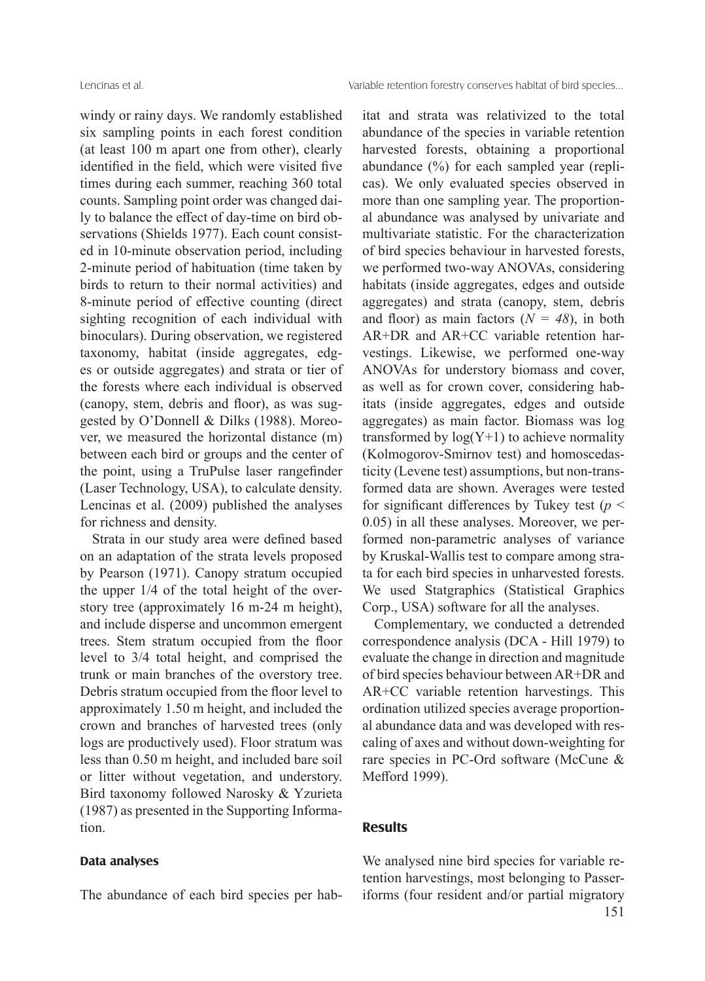windy or rainy days. We randomly established six sampling points in each forest condition (at least 100 m apart one from other), clearly identified in the field, which were visited five times during each summer, reaching 360 total counts. Sampling point order was changed daily to balance the effect of day-time on bird observations (Shields 1977). Each count consisted in 10-minute observation period, including 2-minute period of habituation (time taken by birds to return to their normal activities) and 8-minute period of effective counting (direct sighting recognition of each individual with binoculars). During observation, we registered taxonomy, habitat (inside aggregates, edges or outside aggregates) and strata or tier of the forests where each individual is observed (canopy, stem, debris and floor), as was suggested by O'Donnell & Dilks (1988). Moreover, we measured the horizontal distance (m) between each bird or groups and the center of the point, using a TruPulse laser rangefinder (Laser Technology, USA), to calculate density. Lencinas et al. (2009) published the analyses for richness and density.

Strata in our study area were defined based on an adaptation of the strata levels proposed by Pearson (1971). Canopy stratum occupied the upper 1/4 of the total height of the overstory tree (approximately 16 m-24 m height), and include disperse and uncommon emergent trees. Stem stratum occupied from the floor level to 3/4 total height, and comprised the trunk or main branches of the overstory tree. Debris stratum occupied from the floor level to approximately 1.50 m height, and included the crown and branches of harvested trees (only logs are productively used). Floor stratum was less than 0.50 m height, and included bare soil or litter without vegetation, and understory. Bird taxonomy followed Narosky & Yzurieta (1987) as presented in the Supporting Information.

### **Data analyses**

The abundance of each bird species per hab-

itat and strata was relativized to the total abundance of the species in variable retention harvested forests, obtaining a proportional abundance (%) for each sampled year (replicas). We only evaluated species observed in more than one sampling year. The proportional abundance was analysed by univariate and multivariate statistic. For the characterization of bird species behaviour in harvested forests, we performed two-way ANOVAs, considering habitats (inside aggregates, edges and outside aggregates) and strata (canopy, stem, debris and floor) as main factors  $(N = 48)$ , in both AR+DR and AR+CC variable retention harvestings. Likewise, we performed one-way ANOVAs for understory biomass and cover, as well as for crown cover, considering habitats (inside aggregates, edges and outside aggregates) as main factor. Biomass was log transformed by  $log(Y+1)$  to achieve normality (Kolmogorov-Smirnov test) and homoscedasticity (Levene test) assumptions, but non-transformed data are shown. Averages were tested for significant differences by Tukey test ( $p <$ 0.05) in all these analyses. Moreover, we performed non-parametric analyses of variance by Kruskal-Wallis test to compare among strata for each bird species in unharvested forests. We used Statgraphics (Statistical Graphics Corp., USA) software for all the analyses.

Complementary, we conducted a detrended correspondence analysis (DCA - Hill 1979) to evaluate the change in direction and magnitude of bird species behaviour between AR+DR and AR+CC variable retention harvestings. This ordination utilized species average proportional abundance data and was developed with rescaling of axes and without down-weighting for rare species in PC-Ord software (McCune & Mefford 1999).

## **Results**

151 We analysed nine bird species for variable retention harvestings, most belonging to Passeriforms (four resident and/or partial migratory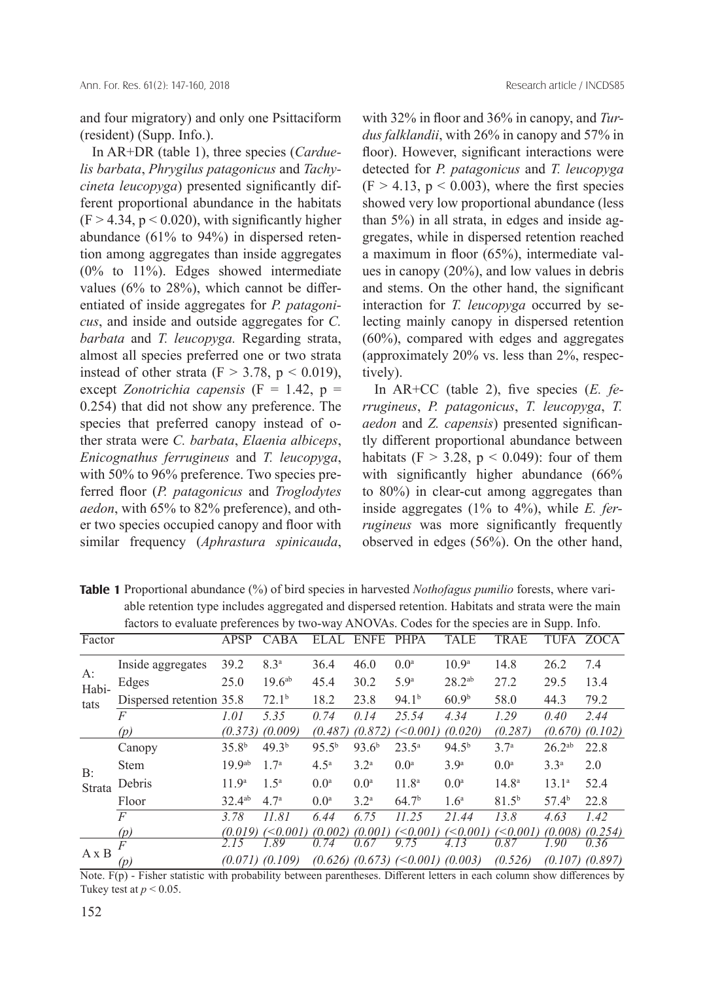and four migratory) and only one Psittaciform (resident) (Supp. Info.).

In AR+DR (table 1), three species (*Carduelis barbata*, *Phrygilus patagonicus* and *Tachycineta leucopyga*) presented significantly different proportional abundance in the habitats  $(F > 4.34, p < 0.020)$ , with significantly higher abundance (61% to 94%) in dispersed retention among aggregates than inside aggregates (0% to 11%). Edges showed intermediate values (6% to 28%), which cannot be differentiated of inside aggregates for *P. patagonicus*, and inside and outside aggregates for *C. barbata* and *T. leucopyga.* Regarding strata, almost all species preferred one or two strata instead of other strata ( $F > 3.78$ ,  $p < 0.019$ ), except *Zonotrichia capensis* (F = 1.42, p = 0.254) that did not show any preference. The species that preferred canopy instead of other strata were *C. barbata*, *Elaenia albiceps*, *Enicognathus ferrugineus* and *T. leucopyga*, with 50% to 96% preference. Two species preferred floor (*P. patagonicus* and *Troglodytes aedon*, with 65% to 82% preference), and other two species occupied canopy and floor with similar frequency (*Aphrastura spinicauda*, with 32% in floor and 36% in canopy, and *Turdus falklandii*, with 26% in canopy and 57% in floor). However, significant interactions were detected for *P. patagonicus* and *T. leucopyga*   $(F > 4.13, p < 0.003)$ , where the first species showed very low proportional abundance (less than 5%) in all strata, in edges and inside aggregates, while in dispersed retention reached a maximum in floor (65%), intermediate values in canopy (20%), and low values in debris and stems. On the other hand, the significant interaction for *T. leucopyga* occurred by selecting mainly canopy in dispersed retention (60%), compared with edges and aggregates (approximately 20% vs. less than 2%, respectively).

In AR+CC (table 2), five species (*E. ferrugineus*, *P. patagonicus*, *T. leucopyga*, *T. aedon* and *Z. capensis*) presented significantly different proportional abundance between habitats (F  $>$  3.28, p  $<$  0.049): four of them with significantly higher abundance (66%) to 80%) in clear-cut among aggregates than inside aggregates (1% to 4%), while *E. ferrugineus* was more significantly frequently observed in edges (56%). On the other hand,

Table 1 Proportional abundance (%) of bird species in harvested *Nothofagus pumilio* forests, where variable retention type includes aggregated and dispersed retention. Habitats and strata were the main factors to evaluate preferences by two-way ANOVAs. Codes for the species are in Supp. Info.

|                     |                          | л.                 |                   |                  |                   |                                       |                   |                  | . .               |                     |
|---------------------|--------------------------|--------------------|-------------------|------------------|-------------------|---------------------------------------|-------------------|------------------|-------------------|---------------------|
| Factor              |                          | APSP               | CABA              | ELAL             | <b>ENFE</b>       | <b>PHPA</b>                           | <b>TALE</b>       | <b>TRAE</b>      | TUFA              | ZOCA                |
| A:<br>Habi-<br>tats | Inside aggregates        | 39.2               | 8.3 <sup>a</sup>  | 36.4             | 46.0              | 0.0 <sup>a</sup>                      | 10.9 <sup>a</sup> | 14.8             | 26.2              | 7.4                 |
|                     | Edges                    | 25.0               | $19.6^{ab}$       | 45.4             | 30.2              | 5.9 <sup>a</sup>                      | $28.2^{ab}$       | 27.2             | 29.5              | 13.4                |
|                     | Dispersed retention 35.8 |                    | 72.1 <sup>b</sup> | 18.2             | 23.8              | 94.1 <sup>b</sup>                     | 60.9 <sup>b</sup> | 58.0             | 44.3              | 79.2                |
|                     | F                        | 1.01               | 5.35              | 0.74             | 0.14              | 25.54                                 | 4.34              | 1.29             | 0.40              | 2.44                |
|                     | (p)                      | (0.373)            | (0.009)           | (0.487)          | (0.872)           | $(\leq 0.001)$                        | (0.020)           | (0.287)          | (0.670)           | (0.102)             |
| B:<br>Strata        | Canopy                   | 35.8 <sup>b</sup>  | 49.3 <sup>b</sup> | $95.5^{b}$       | 93.6 <sup>b</sup> | $23.5^{\circ}$                        | 94.5 <sup>b</sup> | 3.7 <sup>a</sup> | $26.2^{ab}$       | 22.8                |
|                     | <b>Stem</b>              | 19.9 <sup>ab</sup> | 1.7 <sup>a</sup>  | 4.5 <sup>a</sup> | 3.2 <sup>a</sup>  | 0.0 <sup>a</sup>                      | 3.9 <sup>a</sup>  | 0.0 <sup>a</sup> | 3.3 <sup>a</sup>  | 2.0                 |
|                     | Debris                   | 11.9 <sup>a</sup>  | $1.5^{\rm a}$     | 0.0 <sup>a</sup> | 0.0 <sup>a</sup>  | 11.8 <sup>a</sup>                     | 0.0 <sup>a</sup>  | $14.8^{\circ}$   | $13.1^{\circ}$    | 52.4                |
|                     | Floor                    | $32.4^{ab}$        | 4.7 <sup>a</sup>  | 0.0 <sup>a</sup> | 3.2 <sup>a</sup>  | 64.7 <sup>b</sup>                     | 1.6 <sup>a</sup>  | $81.5^{b}$       | 57.4 <sup>b</sup> | 22.8                |
|                     | $\overline{F}$           | 3.78               | 11.81             | 6.44             | 6.75              | 11.25                                 | 21.44             | 13.8             | 4.63              | 1.42                |
|                     | (p)                      | (0.019)            | $\leq 0.001$      | (0.002)          | (0.001)           | $\leq 0.001$                          | $<$ 0.001)        | $(\leq 0.001)$   | (0.008)           | (0.254)             |
| $A \times B$        |                          |                    | .89               | 74               | .67               | .75                                   | 4.13              | 0 87             | .90               | 0.36                |
|                     | (p)                      |                    | (0.071) (0.109)   |                  |                   | $(0.626)$ $(0.673)$ $(0.001) (0.003)$ |                   | (0.526)          |                   | $(0.107)$ $(0.897)$ |

Note. F(p) - Fisher statistic with probability between parentheses. Different letters in each column show differences by Tukey test at  $p < 0.05$ .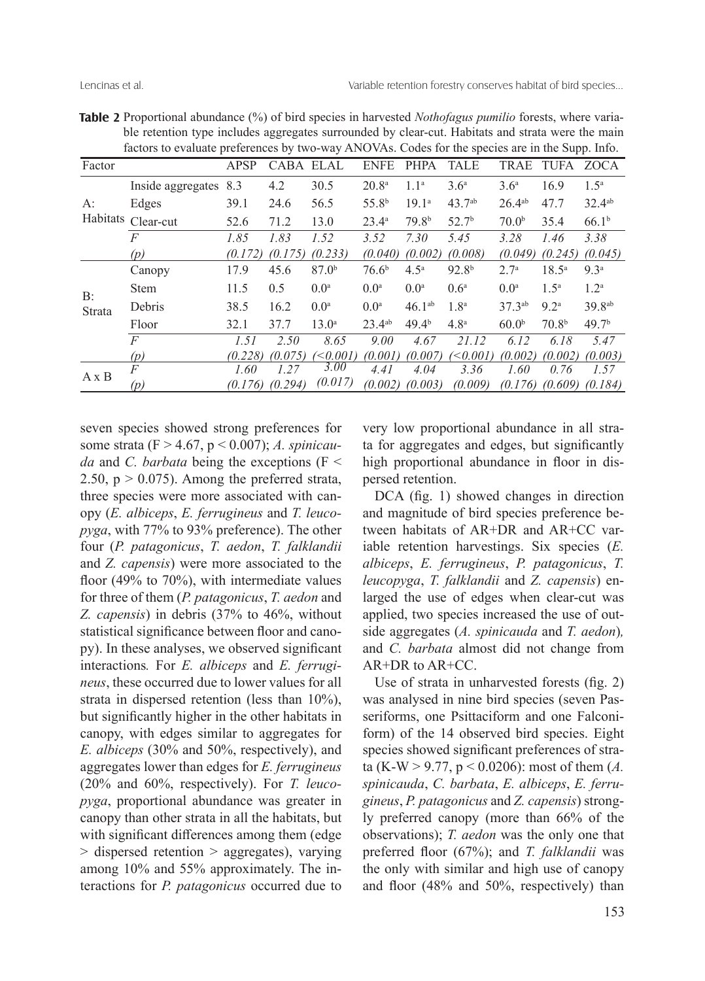|                                                                                                 | ble retention type includes aggregates surrounded by clear-cut. Habitats and strata were the main |         |                  |                   |                   |                   |                   |                    |                   |                    |
|-------------------------------------------------------------------------------------------------|---------------------------------------------------------------------------------------------------|---------|------------------|-------------------|-------------------|-------------------|-------------------|--------------------|-------------------|--------------------|
| factors to evaluate preferences by two-way ANOVAs. Codes for the species are in the Supp. Info. |                                                                                                   |         |                  |                   |                   |                   |                   |                    |                   |                    |
| Factor                                                                                          |                                                                                                   | APSP    | <b>CABA ELAL</b> |                   | <b>ENFE</b>       | <b>PHPA</b>       | <b>TALE</b>       | <b>TRAE</b>        | TUFA              | ZOCA               |
| $A$ :<br>Habitats                                                                               | Inside aggregates                                                                                 | 8.3     | 4.2              | 30.5              | 20.8 <sup>a</sup> | 1.1 <sup>a</sup>  | 3.6 <sup>a</sup>  | 3.6 <sup>a</sup>   | 16.9              | $1.5^{\mathrm{a}}$ |
|                                                                                                 | Edges                                                                                             | 39.1    | 24.6             | 56.5              | 55.8 <sup>b</sup> | 19.1 <sup>a</sup> | $43.7^{ab}$       | $26.4^{ab}$        | 47.7              | $32.4^{ab}$        |
|                                                                                                 | Clear-cut                                                                                         | 52.6    | 71.2             | 13.0              | $23.4^{\circ}$    | 79.8 <sup>b</sup> | 52.7 <sup>b</sup> | 70.0 <sup>b</sup>  | 35.4              | 66.1 <sup>b</sup>  |
|                                                                                                 | $\overline{F}$                                                                                    | 1.85    | 1.83             | 1.52              | 3.52              | 7.30              | 5.45              | 3.28               | 1.46              | 3.38               |
|                                                                                                 | (p)                                                                                               | (0.172) | (0.175)          | (0.233)           | (0.040)           | (0.002)           | (0.008)           | (0.049)            | (0.245)           | (0.045)            |
| B:<br>Strata                                                                                    | Canopy                                                                                            | 17.9    | 45.6             | 87.0 <sup>b</sup> | 76.6 <sup>b</sup> | 4.5 <sup>a</sup>  | 92.8 <sup>b</sup> | $2.7^{\rm a}$      | $18.5^{\circ}$    | 9.3 <sup>a</sup>   |
|                                                                                                 | <b>Stem</b>                                                                                       | 11.5    | 0.5              | 0.0 <sup>a</sup>  | 0.0 <sup>a</sup>  | 0.0 <sup>a</sup>  | 0.6 <sup>a</sup>  | 0.0 <sup>a</sup>   | $1.5^{\rm a}$     | 1.2 <sup>a</sup>   |
|                                                                                                 | Debris                                                                                            | 38.5    | 16.2             | 0.0 <sup>a</sup>  | 0.0 <sup>a</sup>  | $46.1^{ab}$       | 1.8 <sup>a</sup>  | 37.3 <sup>ab</sup> | 9.2 <sup>a</sup>  | 39.8 <sup>ab</sup> |
|                                                                                                 | Floor                                                                                             | 32.1    | 37.7             | $13.0^{\rm a}$    | $23.4^{ab}$       | 49.4 <sup>b</sup> | 4.8 <sup>a</sup>  | 60.0 <sup>b</sup>  | 70.8 <sup>b</sup> | 49.7 <sup>b</sup>  |
|                                                                                                 | $\overline{F}$                                                                                    | 1.51    | 2.50             | 8.65              | 9.00              | 4.67              | 21.12             | 6.12               | 6.18              | 5.47               |
|                                                                                                 | (p)                                                                                               | (0.228) | (0.075)          | $\leq 0.001$      | (0.001)           | (0.007)           | $<$ 0.001)        | (0.002)            | (0.002)           | (0.003)            |
| $A \times B$                                                                                    | $\overline{F}$                                                                                    | 1.60    | 1.27             | 3.00              | 4.41              | 4.04              | 3.36              | 1.60               | 0.76              | 1.57               |
|                                                                                                 | (p)                                                                                               | (0.176) | (0.294)          | (0.017)           | (0.002)           | (0.003)           | (0.009)           | (0.176)            | (0.609)           | (0.184)            |

**Table 2** Proportional abundance (%) of bird species in harvested *Nothofagus pumilio* forests, where variable retention type includes aggregates surrounded by clear-cut. Habitats and strata were the main

seven species showed strong preferences for some strata (F > 4.67, p < 0.007); *A. spinicauda* and *C. barbata* being the exceptions (F < 2.50,  $p > 0.075$ ). Among the preferred strata, three species were more associated with canopy (*E. albiceps*, *E. ferrugineus* and *T. leucopyga*, with 77% to 93% preference). The other four (*P. patagonicus*, *T. aedon*, *T. falklandii*  and *Z. capensis*) were more associated to the floor (49% to 70%), with intermediate values for three of them (*P. patagonicus*, *T. aedon* and *Z. capensis*) in debris (37% to 46%, without statistical significance between floor and canopy). In these analyses, we observed significant interactions*.* For *E. albiceps* and *E. ferrugineus*, these occurred due to lower values for all strata in dispersed retention (less than 10%), but significantly higher in the other habitats in canopy, with edges similar to aggregates for *E. albiceps* (30% and 50%, respectively), and aggregates lower than edges for *E. ferrugineus* (20% and 60%, respectively). For *T. leucopyga*, proportional abundance was greater in canopy than other strata in all the habitats, but with significant differences among them (edge > dispersed retention > aggregates), varying among 10% and 55% approximately. The interactions for *P. patagonicus* occurred due to

very low proportional abundance in all strata for aggregates and edges, but significantly high proportional abundance in floor in dispersed retention.

DCA (fig. 1) showed changes in direction and magnitude of bird species preference between habitats of AR+DR and AR+CC variable retention harvestings. Six species (*E. albiceps*, *E. ferrugineus*, *P. patagonicus*, *T. leucopyga*, *T. falklandii* and *Z. capensis*) enlarged the use of edges when clear-cut was applied, two species increased the use of outside aggregates (*A. spinicauda* and *T. aedon*)*,*  and *C. barbata* almost did not change from AR+DR to AR+CC.

Use of strata in unharvested forests (fig. 2) was analysed in nine bird species (seven Passeriforms, one Psittaciform and one Falconiform) of the 14 observed bird species. Eight species showed significant preferences of strata (K-W > 9.77, p < 0.0206): most of them (*A. spinicauda*, *C. barbata*, *E. albiceps*, *E. ferrugineus*, *P. patagonicus* and *Z. capensis*) strongly preferred canopy (more than 66% of the observations); *T. aedon* was the only one that preferred floor (67%); and *T. falklandii* was the only with similar and high use of canopy and floor (48% and 50%, respectively) than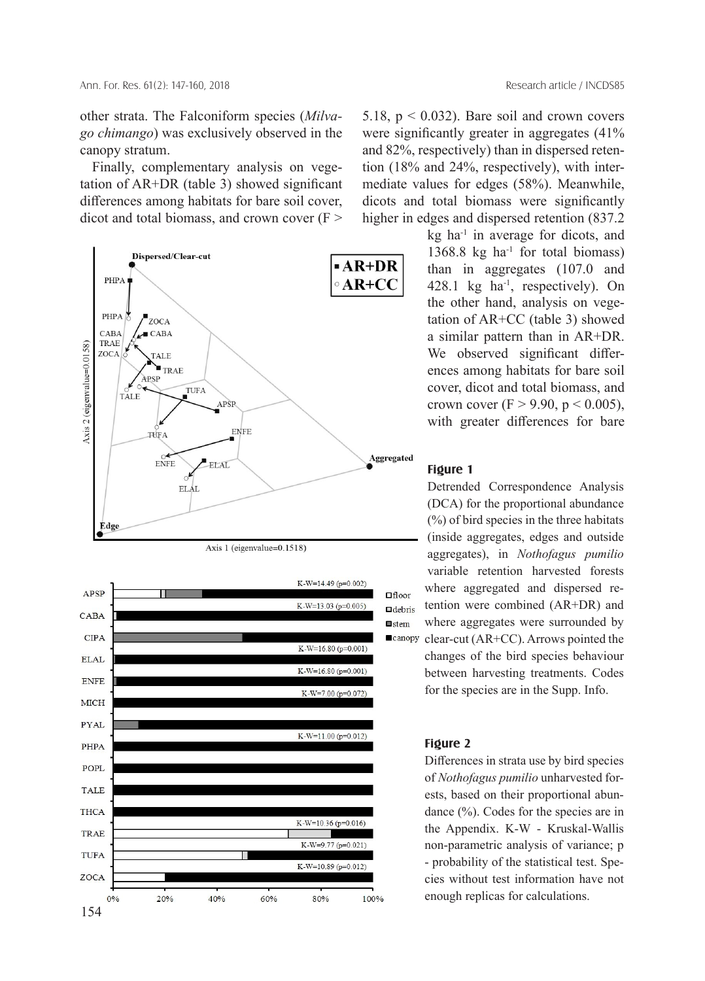other strata. The Falconiform species (*Milvago chimango*) was exclusively observed in the canopy stratum.

Finally, complementary analysis on vegetation of AR+DR (table 3) showed significant differences among habitats for bare soil cover, dicot and total biomass, and crown cover  $(F \geq$ 





5.18,  $p < 0.032$ ). Bare soil and crown covers were significantly greater in aggregates (41% and 82%, respectively) than in dispersed retention (18% and 24%, respectively), with intermediate values for edges (58%). Meanwhile, dicots and total biomass were significantly higher in edges and dispersed retention (837.2

> kg ha<sup>-1</sup> in average for dicots, and 1368.8 kg ha<sup>-1</sup> for total biomass) than in aggregates (107.0 and 428.1 kg ha<sup>-1</sup>, respectively). On the other hand, analysis on vegetation of AR+CC (table 3) showed a similar pattern than in AR+DR. We observed significant differences among habitats for bare soil cover, dicot and total biomass, and crown cover (F  $>$  9.90, p  $<$  0.005), with greater differences for bare

#### **Figure 1**

Detrended Correspondence Analysis (DCA) for the proportional abundance (%) of bird species in the three habitats (inside aggregates, edges and outside aggregates), in *Nothofagus pumilio*  variable retention harvested forests where aggregated and dispersed retention were combined (AR+DR) and where aggregates were surrounded by clear-cut (AR+CC). Arrows pointed the changes of the bird species behaviour

between harvesting treatments. Codes for the species are in the Supp. Info.

## **Figure 2**

Differences in strata use by bird species of *Nothofagus pumilio* unharvested forests, based on their proportional abundance (%). Codes for the species are in the Appendix. K-W - Kruskal-Wallis non-parametric analysis of variance; p - probability of the statistical test. Species without test information have not enough replicas for calculations.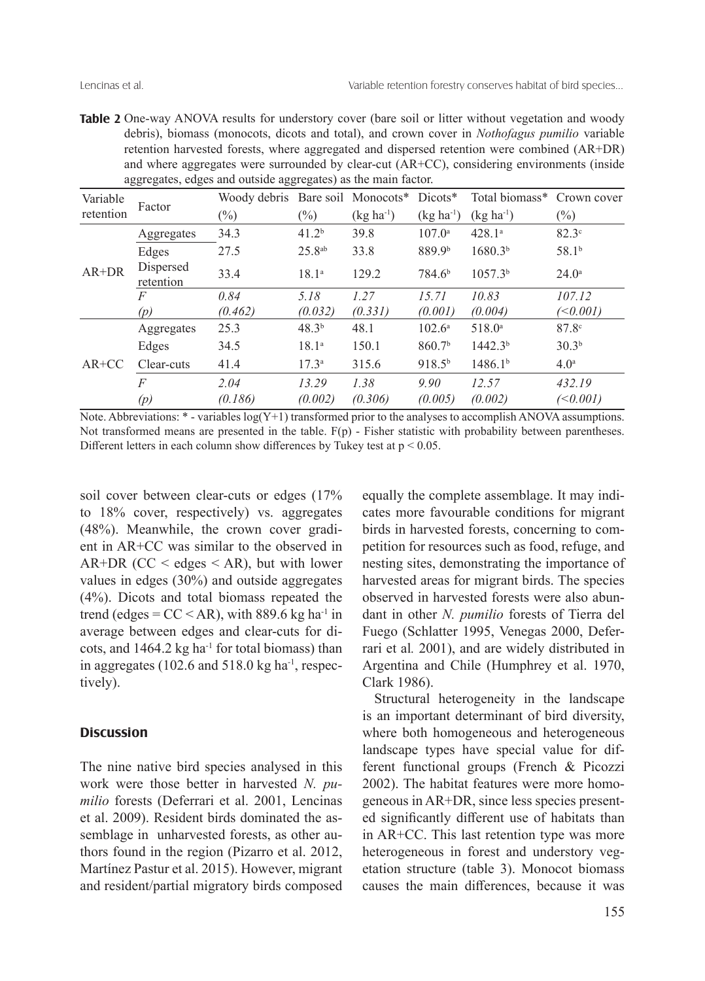**Table 2** One-way ANOVA results for understory cover (bare soil or litter without vegetation and woody debris), biomass (monocots, dicots and total), and crown cover in *Nothofagus pumilio* variable retention harvested forests, where aggregated and dispersed retention were combined (AR+DR) and where aggregates were surrounded by clear-cut (AR+CC), considering environments (inside aggregates, edges and outside aggregates) as the main factor.

| Variable  |                        | Woody debris Bare soil Monocots* Dicots* |                   |                |                    | Total biomass* Crown cover |                   |
|-----------|------------------------|------------------------------------------|-------------------|----------------|--------------------|----------------------------|-------------------|
| retention | Factor                 | $(\%)$                                   | $(\%)$            | $(kg ha^{-1})$ | $(kg ha^{-1})$     | $(kg ha-1)$                | $(\%)$            |
|           | Aggregates             | 34.3                                     | 41.2 <sup>b</sup> | 39.8           | $107.0^{\circ}$    | $428.1^a$                  | $82.3^\circ$      |
|           | Edges                  | 27.5                                     | $25.8^{ab}$       | 33.8           | 889.9 <sup>b</sup> | 1680.3 <sup>b</sup>        | 58.1 <sup>b</sup> |
| $AR+DR$   | Dispersed<br>retention | 33.4                                     | $18.1^{a}$        | 129.2          | 784.6 <sup>b</sup> | $1057.3^{b}$               | $24.0^{\circ}$    |
|           | $\overline{F}$         | 0.84                                     | 5.18              | 1.27           | 15.71              | 10.83                      | 107.12            |
|           | (p)                    | (0.462)                                  | (0.032)           | (0.331)        | (0.001)            | (0.004)                    | ( < 0.001)        |
|           | Aggregates             | 25.3                                     | 48.3 <sup>b</sup> | 48.1           | $102.6^{\circ}$    | $518.0^{\circ}$            | $87.8^\circ$      |
|           | Edges                  | 34.5                                     | 18.1 <sup>a</sup> | 150.1          | 860.7 <sup>b</sup> | 1442.3 <sup>b</sup>        | 30.3 <sup>b</sup> |
| $AR+CC$   | Clear-cuts             | 41.4                                     | 17.3 <sup>a</sup> | 315.6          | $918.5^{b}$        | 1486.1 <sup>b</sup>        | 4.0 <sup>a</sup>  |
|           | $\overline{F}$         | 2.04                                     | 13.29             | 1.38           | 9.90               | 12.57                      | 432.19            |
|           | (p)                    | (0.186)                                  | (0.002)           | (0.306)        | (0.005)            | (0.002)                    | ( < 0.001)        |

Note. Abbreviations: \* - variables log(Y+1) transformed prior to the analyses to accomplish ANOVA assumptions. Not transformed means are presented in the table.  $F(p)$  - Fisher statistic with probability between parentheses. Different letters in each column show differences by Tukey test at  $p < 0.05$ .

soil cover between clear-cuts or edges (17% to 18% cover, respectively) vs. aggregates (48%). Meanwhile, the crown cover gradient in AR+CC was similar to the observed in  $AR+DR$  (CC < edges < AR), but with lower values in edges (30%) and outside aggregates (4%). Dicots and total biomass repeated the trend (edges =  $CC < AR$ ), with 889.6 kg ha<sup>-1</sup> in average between edges and clear-cuts for dicots, and 1464.2 kg ha-1 for total biomass) than in aggregates (102.6 and 518.0 kg ha-1, respectively).

## **Discussion**

The nine native bird species analysed in this work were those better in harvested *N. pumilio* forests (Deferrari et al. 2001, Lencinas et al. 2009). Resident birds dominated the assemblage in unharvested forests, as other authors found in the region (Pizarro et al. 2012, Martínez Pastur et al. 2015). However, migrant and resident/partial migratory birds composed equally the complete assemblage. It may indicates more favourable conditions for migrant birds in harvested forests, concerning to competition for resources such as food, refuge, and nesting sites, demonstrating the importance of harvested areas for migrant birds. The species observed in harvested forests were also abundant in other *N. pumilio* forests of Tierra del Fuego (Schlatter 1995, Venegas 2000, Deferrari et al*.* 2001), and are widely distributed in Argentina and Chile (Humphrey et al. 1970, Clark 1986).

Structural heterogeneity in the landscape is an important determinant of bird diversity, where both homogeneous and heterogeneous landscape types have special value for different functional groups (French & Picozzi 2002). The habitat features were more homogeneous in AR+DR, since less species presented significantly different use of habitats than in AR+CC. This last retention type was more heterogeneous in forest and understory vegetation structure (table 3). Monocot biomass causes the main differences, because it was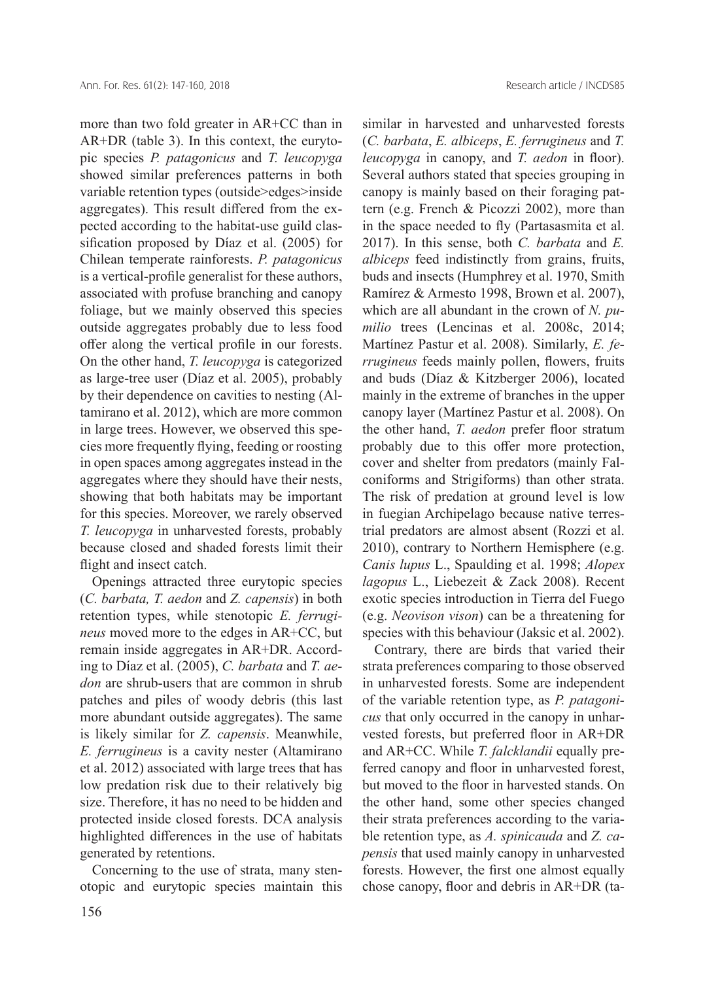more than two fold greater in AR+CC than in AR+DR (table 3). In this context, the eurytopic species *P. patagonicus* and *T. leucopyga* showed similar preferences patterns in both variable retention types (outside>edges>inside aggregates). This result differed from the expected according to the habitat-use guild classification proposed by Díaz et al. (2005) for Chilean temperate rainforests. *P. patagonicus* is a vertical-profile generalist for these authors, associated with profuse branching and canopy foliage, but we mainly observed this species outside aggregates probably due to less food offer along the vertical profile in our forests. On the other hand, *T. leucopyga* is categorized as large-tree user (Díaz et al. 2005), probably by their dependence on cavities to nesting (Altamirano et al. 2012), which are more common in large trees. However, we observed this species more frequently flying, feeding or roosting in open spaces among aggregates instead in the aggregates where they should have their nests, showing that both habitats may be important for this species. Moreover, we rarely observed *T. leucopyga* in unharvested forests, probably because closed and shaded forests limit their flight and insect catch.

Openings attracted three eurytopic species (*C. barbata, T. aedon* and *Z. capensis*) in both retention types, while stenotopic *E. ferrugineus* moved more to the edges in AR+CC, but remain inside aggregates in AR+DR. According to Díaz et al. (2005), *C. barbata* and *T. aedon* are shrub-users that are common in shrub patches and piles of woody debris (this last more abundant outside aggregates). The same is likely similar for *Z. capensis*. Meanwhile, *E. ferrugineus* is a cavity nester (Altamirano et al. 2012) associated with large trees that has low predation risk due to their relatively big size. Therefore, it has no need to be hidden and protected inside closed forests. DCA analysis highlighted differences in the use of habitats generated by retentions.

Concerning to the use of strata, many stenotopic and eurytopic species maintain this similar in harvested and unharvested forests (*C. barbata*, *E. albiceps*, *E. ferrugineus* and *T. leucopyga* in canopy, and *T. aedon* in floor). Several authors stated that species grouping in canopy is mainly based on their foraging pattern (e.g. French & Picozzi 2002), more than in the space needed to fly (Partasasmita et al. 2017). In this sense, both *C. barbata* and *E. albiceps* feed indistinctly from grains, fruits, buds and insects (Humphrey et al. 1970, Smith Ramírez & Armesto 1998, Brown et al. 2007), which are all abundant in the crown of *N. pumilio* trees (Lencinas et al. 2008c, 2014; Martínez Pastur et al. 2008). Similarly, *E. ferrugineus* feeds mainly pollen, flowers, fruits and buds (Díaz & Kitzberger 2006), located mainly in the extreme of branches in the upper canopy layer (Martínez Pastur et al. 2008). On the other hand, *T. aedon* prefer floor stratum probably due to this offer more protection, cover and shelter from predators (mainly Falconiforms and Strigiforms) than other strata. The risk of predation at ground level is low in fuegian Archipelago because native terrestrial predators are almost absent (Rozzi et al. 2010), contrary to Northern Hemisphere (e.g. *Canis lupus* L., Spaulding et al. 1998; *Alopex lagopus* L., Liebezeit & Zack 2008). Recent exotic species introduction in Tierra del Fuego (e.g. *Neovison vison*) can be a threatening for species with this behaviour (Jaksic et al. 2002).

Contrary, there are birds that varied their strata preferences comparing to those observed in unharvested forests. Some are independent of the variable retention type, as *P. patagonicus* that only occurred in the canopy in unharvested forests, but preferred floor in AR+DR and AR+CC. While *T. falcklandii* equally preferred canopy and floor in unharvested forest, but moved to the floor in harvested stands. On the other hand, some other species changed their strata preferences according to the variable retention type, as *A. spinicauda* and *Z. capensis* that used mainly canopy in unharvested forests. However, the first one almost equally chose canopy, floor and debris in AR+DR (ta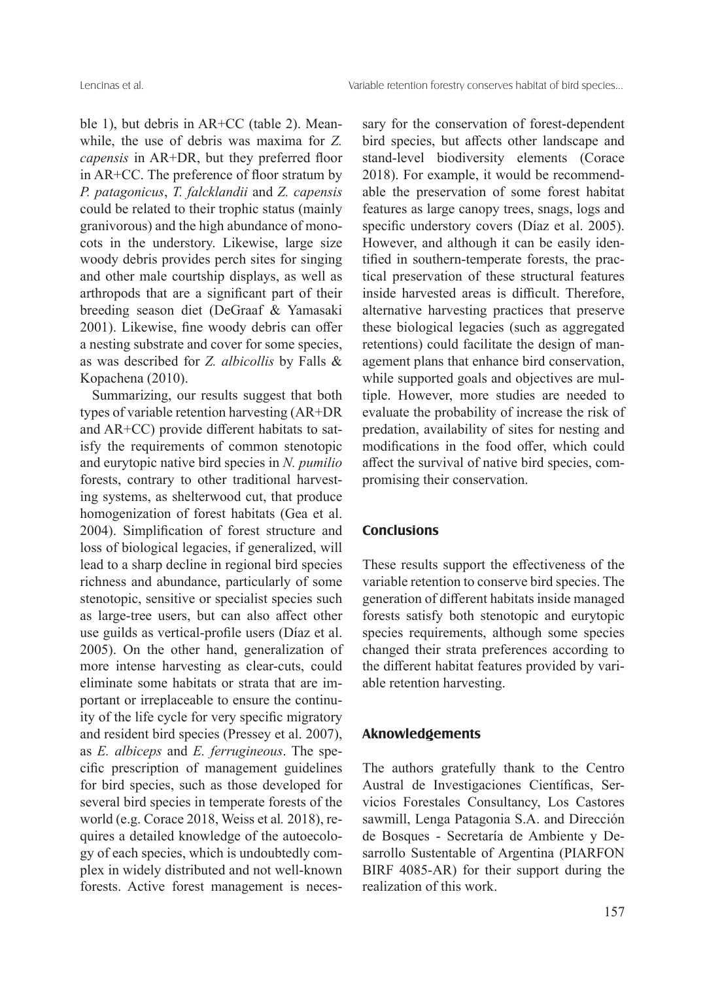ble 1), but debris in AR+CC (table 2). Meanwhile, the use of debris was maxima for *Z. capensis* in AR+DR, but they preferred floor in AR+CC. The preference of floor stratum by *P. patagonicus*, *T. falcklandii* and *Z. capensis* could be related to their trophic status (mainly granivorous) and the high abundance of monocots in the understory. Likewise, large size woody debris provides perch sites for singing and other male courtship displays, as well as arthropods that are a significant part of their breeding season diet (DeGraaf & Yamasaki 2001). Likewise, fine woody debris can offer a nesting substrate and cover for some species, as was described for *Z. albicollis* by Falls & Kopachena (2010).

Summarizing, our results suggest that both types of variable retention harvesting (AR+DR and AR+CC) provide different habitats to satisfy the requirements of common stenotopic and eurytopic native bird species in *N. pumilio*  forests, contrary to other traditional harvesting systems, as shelterwood cut, that produce homogenization of forest habitats (Gea et al. 2004). Simplification of forest structure and loss of biological legacies, if generalized, will lead to a sharp decline in regional bird species richness and abundance, particularly of some stenotopic, sensitive or specialist species such as large-tree users, but can also affect other use guilds as vertical-profile users (Díaz et al. 2005). On the other hand, generalization of more intense harvesting as clear-cuts, could eliminate some habitats or strata that are important or irreplaceable to ensure the continuity of the life cycle for very specific migratory and resident bird species (Pressey et al. 2007), as *E. albiceps* and *E. ferrugineous*. The specific prescription of management guidelines for bird species, such as those developed for several bird species in temperate forests of the world (e.g. Corace 2018, Weiss et al*.* 2018), requires a detailed knowledge of the autoecology of each species, which is undoubtedly complex in widely distributed and not well-known forests. Active forest management is necessary for the conservation of forest-dependent bird species, but affects other landscape and stand-level biodiversity elements (Corace 2018). For example, it would be recommendable the preservation of some forest habitat features as large canopy trees, snags, logs and specific understory covers (Díaz et al. 2005). However, and although it can be easily identified in southern-temperate forests, the practical preservation of these structural features inside harvested areas is difficult. Therefore, alternative harvesting practices that preserve these biological legacies (such as aggregated retentions) could facilitate the design of management plans that enhance bird conservation, while supported goals and objectives are multiple. However, more studies are needed to evaluate the probability of increase the risk of predation, availability of sites for nesting and modifications in the food offer, which could affect the survival of native bird species, compromising their conservation.

## **Conclusions**

These results support the effectiveness of the variable retention to conserve bird species. The generation of different habitats inside managed forests satisfy both stenotopic and eurytopic species requirements, although some species changed their strata preferences according to the different habitat features provided by variable retention harvesting.

## **Aknowledgements**

The authors gratefully thank to the Centro Austral de Investigaciones Científicas, Servicios Forestales Consultancy, Los Castores sawmill, Lenga Patagonia S.A. and Dirección de Bosques - Secretaría de Ambiente y Desarrollo Sustentable of Argentina (PIARFON BIRF 4085-AR) for their support during the realization of this work.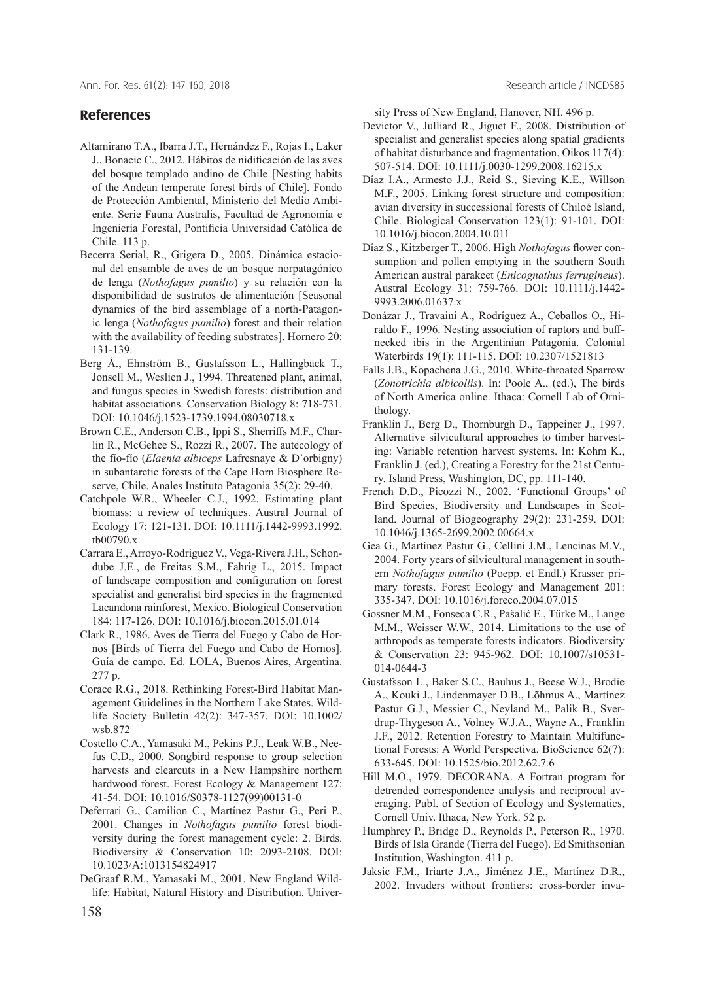Ann. For. Res. 61(2): 147-160, 2018 Research article / INCDS85

## **References**

- Altamirano T.A., Ibarra J.T., Hernández F., Rojas I., Laker J., Bonacic C., 2012. Hábitos de nidificación de las aves del bosque templado andino de Chile [Nesting habits of the Andean temperate forest birds of Chile]. Fondo de Protección Ambiental, Ministerio del Medio Ambiente. Serie Fauna Australis, Facultad de Agronomía e Ingeniería Forestal, Pontificia Universidad Católica de Chile. 113 p.
- Becerra Serial, R., Grigera D., 2005. Dinámica estacional del ensamble de aves de un bosque norpatagónico de lenga (*Nothofagus pumilio*) y su relación con la disponibilidad de sustratos de alimentación [Seasonal dynamics of the bird assemblage of a north-Patagonic lenga (*Nothofagus pumilio*) forest and their relation with the availability of feeding substrates]. Hornero 20: 131-139.
- Berg Å., Ehnström B., Gustafsson L., Hallingbäck T., Jonsell M., Weslien J., 1994. Threatened plant, animal, and fungus species in Swedish forests: distribution and habitat associations. Conservation Biology 8: 718-731. DOI: 10.1046/j.1523-1739.1994.08030718.x
- Brown C.E., Anderson C.B., Ippi S., Sherriffs M.F., Charlin R., McGehee S., Rozzi R., 2007. The autecology of the fío-fío (*Elaenia albiceps* Lafresnaye & D'orbigny) in subantarctic forests of the Cape Horn Biosphere Reserve, Chile. Anales Instituto Patagonia 35(2): 29-40.
- Catchpole W.R., Wheeler C.J., 1992. Estimating plant biomass: a review of techniques. Austral Journal of Ecology 17: 121-131. DOI: 10.1111/j.1442-9993.1992. tb00790.x
- Carrara E., Arroyo-Rodríguez V., Vega-Rivera J.H., Schondube J.E., de Freitas S.M., Fahrig L., 2015. Impact of landscape composition and configuration on forest specialist and generalist bird species in the fragmented Lacandona rainforest, Mexico. Biological Conservation 184: 117-126. DOI: 10.1016/j.biocon.2015.01.014
- Clark R., 1986. Aves de Tierra del Fuego y Cabo de Hornos [Birds of Tierra del Fuego and Cabo de Hornos]. Guía de campo. Ed. LOLA, Buenos Aires, Argentina. 277 p.
- Corace R.G., 2018. Rethinking Forest-Bird Habitat Management Guidelines in the Northern Lake States. Wildlife Society Bulletin 42(2): 347-357. DOI: 10.1002/ wsb.872
- Costello C.A., Yamasaki M., Pekins P.J., Leak W.B., Neefus C.D., 2000. Songbird response to group selection harvests and clearcuts in a New Hampshire northern hardwood forest. Forest Ecology & Management 127: 41-54. DOI: 10.1016/S0378-1127(99)00131-0
- Deferrari G., Camilion C., Martínez Pastur G., Peri P., 2001. Changes in *Nothofagus pumilio* forest biodiversity during the forest management cycle: 2. Birds. Biodiversity & Conservation 10: 2093-2108. DOI: 10.1023/A:1013154824917
- DeGraaf R.M., Yamasaki M., 2001. New England Wildlife: Habitat, Natural History and Distribution. Univer-

sity Press of New England, Hanover, NH. 496 p.

- Devictor V., Julliard R., Jiguet F., 2008. Distribution of specialist and generalist species along spatial gradients of habitat disturbance and fragmentation. Oikos 117(4): 507-514. DOI: 10.1111/j.0030-1299.2008.16215.x
- Díaz I.A., Armesto J.J., Reid S., Sieving K.E., Willson M.F., 2005. Linking forest structure and composition: avian diversity in successional forests of Chiloé Island, Chile. Biological Conservation 123(1): 91-101. DOI: 10.1016/j.biocon.2004.10.011
- Díaz S., Kitzberger T., 2006. High *Nothofagus* flower consumption and pollen emptying in the southern South American austral parakeet (*Enicognathus ferrugineus*). Austral Ecology 31: 759-766. DOI: 10.1111/j.1442- 9993.2006.01637.x
- Donázar J., Travaini A., Rodríguez A., Ceballos O., Hiraldo F., 1996. Nesting association of raptors and buffnecked ibis in the Argentinian Patagonia. Colonial Waterbirds 19(1): 111-115. DOI: 10.2307/1521813
- Falls J.B., Kopachena J.G., 2010. White-throated Sparrow (*Zonotrichia albicollis*). In: Poole A., (ed.), The birds of North America online. Ithaca: Cornell Lab of Ornithology.
- Franklin J., Berg D., Thornburgh D., Tappeiner J., 1997. Alternative silvicultural approaches to timber harvesting: Variable retention harvest systems. In: Kohm K., Franklin J. (ed.), Creating a Forestry for the 21st Century. Island Press, Washington, DC, pp. 111-140.
- French D.D., Picozzi N., 2002. 'Functional Groups' of Bird Species, Biodiversity and Landscapes in Scotland. Journal of Biogeography 29(2): 231-259. DOI: 10.1046/j.1365-2699.2002.00664.x
- Gea G., Martínez Pastur G., Cellini J.M., Lencinas M.V., 2004. Forty years of silvicultural management in southern *Nothofagus pumilio* (Poepp. et Endl.) Krasser primary forests. Forest Ecology and Management 201: 335-347. DOI: 10.1016/j.foreco.2004.07.015
- Gossner M.M., Fonseca C.R., Pašalić E., Türke M., Lange M.M., Weisser W.W., 2014. Limitations to the use of arthropods as temperate forests indicators. Biodiversity & Conservation 23: 945-962. DOI: 10.1007/s10531- 014-0644-3
- Gustafsson L., Baker S.C., Bauhus J., Beese W.J., Brodie A., Kouki J., Lindenmayer D.B., Lõhmus A., Martínez Pastur G.J., Messier C., Neyland M., Palik B., Sverdrup-Thygeson A., Volney W.J.A., Wayne A., Franklin J.F., 2012. Retention Forestry to Maintain Multifunctional Forests: A World Perspectiva. BioScience 62(7): 633-645. DOI: 10.1525/bio.2012.62.7.6
- Hill M.O., 1979. DECORANA. A Fortran program for detrended correspondence analysis and reciprocal averaging. Publ. of Section of Ecology and Systematics, Cornell Univ. Ithaca, New York. 52 p.
- Humphrey P., Bridge D., Reynolds P., Peterson R., 1970. Birds of Isla Grande (Tierra del Fuego). Ed Smithsonian Institution, Washington. 411 p.
- Jaksic F.M., Iriarte J.A., Jiménez J.E., Martínez D.R., 2002. Invaders without frontiers: cross-border inva-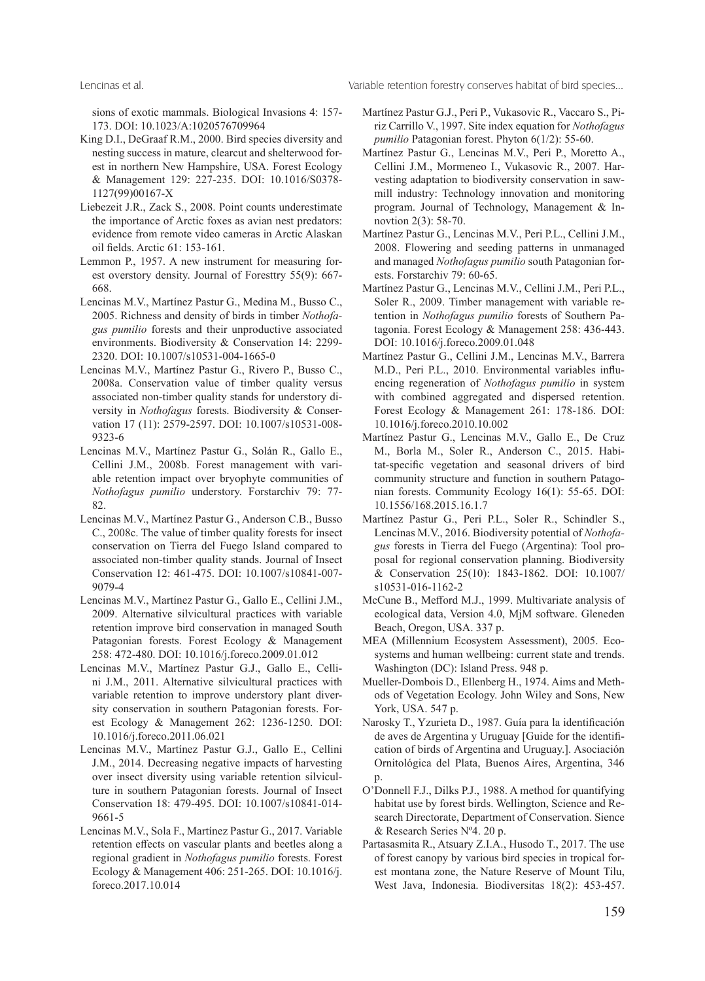Lencinas et al. Variable retention forestry conserves habitat of bird species...

sions of exotic mammals. Biological Invasions 4: 157- 173. DOI: 10.1023/A:1020576709964

- King D.I., DeGraaf R.M., 2000. Bird species diversity and nesting success in mature, clearcut and shelterwood forest in northern New Hampshire, USA. Forest Ecology & Management 129: 227-235. DOI: 10.1016/S0378- 1127(99)00167-X
- Liebezeit J.R., Zack S., 2008. Point counts underestimate the importance of Arctic foxes as avian nest predators: evidence from remote video cameras in Arctic Alaskan oil fields. Arctic 61: 153-161.
- Lemmon P., 1957. A new instrument for measuring forest overstory density. Journal of Foresttry 55(9): 667- 668.
- Lencinas M.V., Martínez Pastur G., Medina M., Busso C., 2005. Richness and density of birds in timber *Nothofagus pumilio* forests and their unproductive associated environments. Biodiversity & Conservation 14: 2299- 2320. DOI: 10.1007/s10531-004-1665-0
- Lencinas M.V., Martínez Pastur G., Rivero P., Busso C., 2008a. Conservation value of timber quality versus associated non-timber quality stands for understory diversity in *Nothofagus* forests. Biodiversity & Conservation 17 (11): 2579-2597. DOI: 10.1007/s10531-008- 9323-6
- Lencinas M.V., Martínez Pastur G., Solán R., Gallo E., Cellini J.M., 2008b. Forest management with variable retention impact over bryophyte communities of *Nothofagus pumilio* understory. Forstarchiv 79: 77- 82.
- Lencinas M.V., Martínez Pastur G., Anderson C.B., Busso C., 2008c. The value of timber quality forests for insect conservation on Tierra del Fuego Island compared to associated non-timber quality stands. Journal of Insect Conservation 12: 461-475. DOI: 10.1007/s10841-007- 9079-4
- Lencinas M.V., Martínez Pastur G., Gallo E., Cellini J.M., 2009. Alternative silvicultural practices with variable retention improve bird conservation in managed South Patagonian forests. Forest Ecology & Management 258: 472-480. DOI: 10.1016/j.foreco.2009.01.012
- Lencinas M.V., Martínez Pastur G.J., Gallo E., Cellini J.M., 2011. Alternative silvicultural practices with variable retention to improve understory plant diversity conservation in southern Patagonian forests. Forest Ecology & Management 262: 1236-1250. DOI: 10.1016/j.foreco.2011.06.021
- Lencinas M.V., Martínez Pastur G.J., Gallo E., Cellini J.M., 2014. Decreasing negative impacts of harvesting over insect diversity using variable retention silviculture in southern Patagonian forests. Journal of Insect Conservation 18: 479-495. DOI: 10.1007/s10841-014- 9661-5
- Lencinas M.V., Sola F., Martínez Pastur G., 2017. Variable retention effects on vascular plants and beetles along a regional gradient in *Nothofagus pumilio* forests. Forest Ecology & Management 406: 251-265. DOI: 10.1016/j. foreco.2017.10.014
- Martínez Pastur G.J., Peri P., Vukasovic R., Vaccaro S., Piriz Carrillo V., 1997. Site index equation for *Nothofagus pumilio* Patagonian forest. Phyton 6(1/2): 55-60.
- Martínez Pastur G., Lencinas M.V., Peri P., Moretto A., Cellini J.M., Mormeneo I., Vukasovic R., 2007. Harvesting adaptation to biodiversity conservation in sawmill industry: Technology innovation and monitoring program. Journal of Technology, Management & Innovtion 2(3): 58-70.
- Martínez Pastur G., Lencinas M.V., Peri P.L., Cellini J.M., 2008. Flowering and seeding patterns in unmanaged and managed *Nothofagus pumilio* south Patagonian forests. Forstarchiv 79: 60-65.
- Martínez Pastur G., Lencinas M.V., Cellini J.M., Peri P.L., Soler R., 2009. Timber management with variable retention in *Nothofagus pumilio* forests of Southern Patagonia. Forest Ecology & Management 258: 436-443. DOI: 10.1016/j.foreco.2009.01.048
- Martínez Pastur G., Cellini J.M., Lencinas M.V., Barrera M.D., Peri P.L., 2010. Environmental variables influencing regeneration of *Nothofagus pumilio* in system with combined aggregated and dispersed retention. Forest Ecology & Management 261: 178-186. DOI: 10.1016/j.foreco.2010.10.002
- Martínez Pastur G., Lencinas M.V., Gallo E., De Cruz M., Borla M., Soler R., Anderson C., 2015. Habitat-specific vegetation and seasonal drivers of bird community structure and function in southern Patagonian forests. Community Ecology 16(1): 55-65. DOI: 10.1556/168.2015.16.1.7
- Martínez Pastur G., Peri P.L., Soler R., Schindler S., Lencinas M.V., 2016. Biodiversity potential of *Nothofagus* forests in Tierra del Fuego (Argentina): Tool proposal for regional conservation planning. Biodiversity & Conservation 25(10): 1843-1862. DOI: 10.1007/ s10531-016-1162-2
- McCune B., Mefford M.J., 1999. Multivariate analysis of ecological data, Version 4.0, MjM software. Gleneden Beach, Oregon, USA. 337 p.
- MEA (Millennium Ecosystem Assessment), 2005. Ecosystems and human wellbeing: current state and trends. Washington (DC): Island Press. 948 p.
- Mueller-Dombois D., Ellenberg H., 1974. Aims and Methods of Vegetation Ecology. John Wiley and Sons, New York, USA. 547 p.
- Narosky T., Yzurieta D., 1987. Guía para la identificación de aves de Argentina y Uruguay [Guide for the identification of birds of Argentina and Uruguay.]. Asociación Ornitológica del Plata, Buenos Aires, Argentina, 346 p.
- O'Donnell F.J., Dilks P.J., 1988. A method for quantifying habitat use by forest birds. Wellington, Science and Research Directorate, Department of Conservation. Sience & Research Series Nº4. 20 p.
- Partasasmita R., Atsuary Z.I.A., Husodo T., 2017. The use of forest canopy by various bird species in tropical forest montana zone, the Nature Reserve of Mount Tilu, West Java, Indonesia. Biodiversitas 18(2): 453-457.